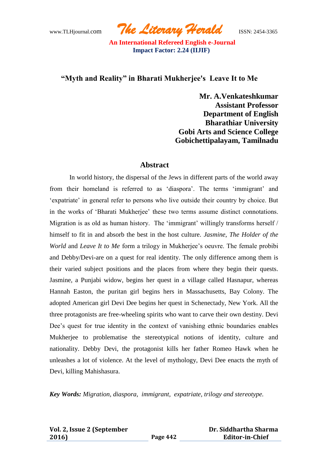www.TLHjournal.com *The Literary Herald*ISSN: 2454-3365

## **"Myth and Reality" in Bharati Mukherjee's Leave It to Me**

**Mr. A.Venkateshkumar Assistant Professor Department of English Bharathiar University Gobi Arts and Science College Gobichettipalayam, Tamilnadu**

#### **Abstract**

In world history, the dispersal of the Jews in different parts of the world away from their homeland is referred to as 'diaspora'. The terms 'immigrant' and 'expatriate' in general refer to persons who live outside their country by choice. But in the works of "Bharati Mukherjee" these two terms assume distinct connotations. Migration is as old as human history. The 'immigrant' willingly transforms herself / himself to fit in and absorb the best in the host culture. *Jasmine*, *The Holder of the World* and *Leave It to Me* form a trilogy in Mukherjee's oeuvre. The female probibi and Debby/Devi-are on a quest for real identity. The only difference among them is their varied subject positions and the places from where they begin their quests. Jasmine, a Punjabi widow, begins her quest in a village called Hasnapur, whereas Hannah Easton, the puritan girl begins hers in Massachusetts, Bay Colony. The adopted American girl Devi Dee begins her quest in Schenectady, New York. All the three protagonists are free-wheeling spirits who want to carve their own destiny. Devi Dee's quest for true identity in the context of vanishing ethnic boundaries enables Mukherjee to problematise the stereotypical notions of identity, culture and nationality. Debby Devi, the protagonist kills her father Romeo Hawk when he unleashes a lot of violence. At the level of mythology, Devi Dee enacts the myth of Devi, killing Mahishasura.

*Key Words: Migration, diaspora, immigrant, expatriate, trilogy and stereotype.*

| Vol. 2, Issue 2 (September |          | Dr. Siddhartha Sharma  |
|----------------------------|----------|------------------------|
| 2016)                      | Page 442 | <b>Editor-in-Chief</b> |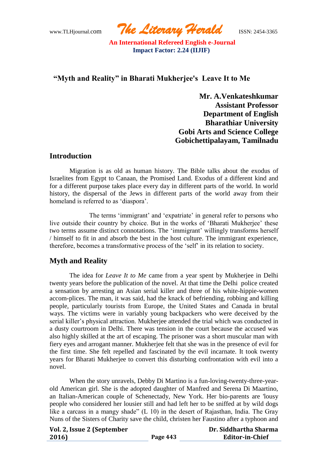www.TLHjournal.com *The Literary Herald*ISSN: 2454-3365

# **"Myth and Reality" in Bharati Mukherjee's Leave It to Me**

**Mr. A.Venkateshkumar Assistant Professor Department of English Bharathiar University Gobi Arts and Science College Gobichettipalayam, Tamilnadu**

## **Introduction**

Migration is as old as human history. The Bible talks about the exodus of Israelites from Egypt to Canaan, the Promised Land. Exodus of a different kind and for a different purpose takes place every day in different parts of the world. In world history, the dispersal of the Jews in different parts of the world away from their homeland is referred to as 'diaspora'.

The terms 'immigrant' and 'expatriate' in general refer to persons who live outside their country by choice. But in the works of 'Bharati Mukherjee' these two terms assume distinct connotations. The 'immigrant' willingly transforms herself / himself to fit in and absorb the best in the host culture. The immigrant experience, therefore, becomes a transformative process of the "self" in its relation to society.

## **Myth and Reality**

The idea for *Leave It to Me* came from a year spent by Mukherjee in Delhi twenty years before the publication of the novel. At that time the Delhi police created a sensation by arresting an Asian serial killer and three of his white-hippie-women accom-plices. The man, it was said, had the knack of befriending, robbing and killing people, particularly tourists from Europe, the United States and Canada in brutal ways. The victims were in variably young backpackers who were deceived by the serial killer"s physical attraction. Mukherjee attended the trial which was conducted in a dusty courtroom in Delhi. There was tension in the court because the accused was also highly skilled at the art of escaping. The prisoner was a short muscular man with fiery eyes and arrogant manner. Mukherjee felt that she was in the presence of evil for the first time. She felt repelled and fascinated by the evil incarnate. It took twenty years for Bharati Mukherjee to convert this disturbing confrontation with evil into a novel.

When the story unravels, Debby Di Martino is a fun-loving-twenty-three-yearold American girl. She is the adopted daughter of Manfred and Serena Di Maartino, an Italian-American couple of Schenectady, New York. Her bio-parents are 'lousy people who considered her lousier still and had left her to be sniffed at by wild dogs like a carcass in a mangy shade" (L 10) in the desert of Rajasthan, India. The Gray Nuns of the Sisters of Charity save the child, christen her Faustino after a typhoon and

| Vol. 2, Issue 2 (September |  |
|----------------------------|--|
| 2016)                      |  |

 **Dr. Siddhartha Sharma Editor-in-Chief**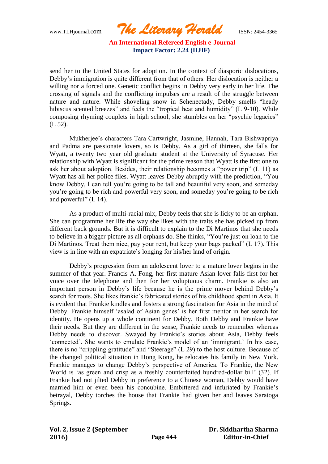www.TLHjournal.com *The Literary Herald*ISSN: 2454-3365

send her to the United States for adoption. In the context of diasporic dislocations, Debby"s immigration is quite different from that of others. Her dislocation is neither a willing nor a forced one. Genetic conflict begins in Debby very early in her life. The crossing of signals and the conflicting impulses are a result of the struggle between nature and nature. While shoveling snow in Schenectady, Debby smells "heady hibiscus scented breezes" and feels the "tropical heat and humidity" (L 9-10). While composing rhyming couplets in high school, she stumbles on her "psychic legacies" (L 52).

Mukherjee"s characters Tara Cartwright, Jasmine, Hannah, Tara Bishwapriya and Padma are passionate lovers, so is Debby. As a girl of thirteen, she falls for Wyatt, a twenty two year old graduate student at the University of Syracuse. Her relationship with Wyatt is significant for the prime reason that Wyatt is the first one to ask her about adoption. Besides, their relationship becomes a "power trip" (L 11) as Wyatt has all her police files. Wyatt leaves Debby abruptly with the prediction, "You know Debby, I can tell you"re going to be tall and beautiful very soon, and someday you"re going to be rich and powerful very soon, and someday you"re going to be rich and powerful" (L 14).

As a product of multi-racial mix, Debby feels that she is licky to be an orphan. She can programme her life the way she likes with the traits she has picked up from different back grounds. But it is difficult to explain to the Di Martinos that she needs to believe in a bigger picture as all orphans do. She thinks, "You"re just on loan to the Di Martinos. Treat them nice, pay your rent, but keep your bags packed" (L 17). This view is in line with an expatriate"s longing for his/her land of origin.

Debby"s progression from an adolescent lover to a mature lover begins in the summer of that year. Francis A. Fong, her first mature Asian lover falls first for her voice over the telephone and then for her voluptuous charm. Frankie is also an important person in Debby"s life because he is the prime mover behind Debby"s search for roots. She likes frankie"s fabricated stories of his childhood spent in Asia. It is evident that Frankie kindles and fosters a strong fascination for Asia in the mind of Debby. Frankie himself 'asalad of Asian genes' is her first mentor in her search for identity. He opens up a whole continent for Debby. Both Debby and Frankie have their needs. But they are different in the sense, Frankie needs to remember whereas Debby needs to discover. Swayed by Frankie's stories about Asia, Debby feels 'connected'. She wants to emulate Frankie's model of an 'immigrant.' In his case, there is no "crippling gratitude" and "Steerage" (L 29) to the host culture. Because of the changed political situation in Hong Kong, he relocates his family in New York. Frankie manages to change Debby"s perspective of America. To Frankie, the New World is 'as green and crisp as a freshly counterfeited hundred-dollar bill' (32). If Frankie had not jilted Debby in preference to a Chinese woman, Debby would have married him or even been his concubine. Embittered and infuriated by Frankie"s betrayal, Debby torches the house that Frankie had given her and leaves Saratoga Springs.

| Vol. 2, Issue 2 (September |          | Dr. Siddhartha Sharma  |
|----------------------------|----------|------------------------|
| 2016)                      | Page 444 | <b>Editor-in-Chief</b> |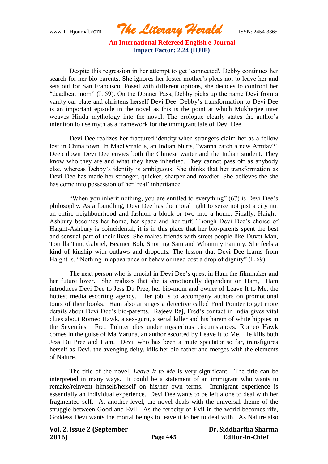www.TLHjournal.com *The Literary Herald*ISSN: 2454-3365

Despite this regression in her attempt to get "connected', Debby continues her search for her bio-parents. She ignores her foster-mother"s pleas not to leave her and sets out for San Francisco. Posed with different options, she decides to confront her "deadbeat mom" (L 59). On the Donner Pass, Debby picks up the name Devi from a vanity car plate and christens herself Devi Dee. Debby"s transformation to Devi Dee is an important episode in the novel as this is the point at which Mukherjee inter weaves Hindu mythology into the novel. The prologue clearly states the author"s intention to use myth as a framework for the immigrant tale of Devi Dee.

Devi Dee realizes her fractured identity when strangers claim her as a fellow lost in China town. In MacDonald's, an Indian blurts, "wanna catch a new Amitav?" Deep down Devi Dee envies both the Chinese waiter and the Indian student. They know who they are and what they have inherited. They cannot pass off as anybody else, whereas Debby"s identity is ambiguous. She thinks that her transformation as Devi Dee has made her stronger, quicker, sharper and rowdier. She believes the she has come into possession of her 'real' inheritance.

"When you inherit nothing, you are entitled to everything" (67) is Devi Dee's philosophy. As a foundling, Devi Dee has the moral right to seize not just a city nut an entire neighbourhood and fashion a block or two into a home. Finally, Haight-Ashbury becomes her home, her space and her turf. Though Devi Dee"s choice of Haight-Ashbury is coincidental, it is in this place that her bio-parents spent the best and sensual part of their lives. She makes friends with street people like Duvet Man, Tortilla Tim, Gabriel, Beamer Bob, Snorting Sam and Whammy Pammy. She feels a kind of kinship with outlaws and dropouts. The lesson that Devi Dee learns from Haight is, "Nothing in appearance or behavior need cost a drop of dignity" (L 69).

The next person who is crucial in Devi Dee"s quest in Ham the filmmaker and her future lover. She realizes that she is emotionally dependent on Ham, Ham introduces Devi Dee to Jess Du Pree, her bio-mom and owner of Leave It to Me, the hottest media escorting agency. Her job is to accompany authors on promotional tours of their books. Ham also arranges a detective called Fred Pointer to get more details about Devi Dee"s bio-parents. Rajeev Raj, Fred"s contact in India gives vital clues about Romeo Hawk, a sex-guru, a serial killer and his harem of white hippies in the Seventies. Fred Pointer dies under mysterious circumstances. Romeo Hawk comes in the guise of Ma Varuna, an author escorted by Leave It to Me. He kills both Jess Du Pree and Ham. Devi, who has been a mute spectator so far, transfigures herself as Devi, the avenging deity, kills her bio-father and merges with the elements of Nature.

The title of the novel, *Leave It to Me* is very significant. The title can be interpreted in many ways. It could be a statement of an immigrant who wants to remake/reinvent himself/herself on his/her own terms. Immigrant experience is essentially an individual experience. Devi Dee wants to be left alone to deal with her fragmented self. At another level, the novel deals with the universal theme of the struggle between Good and Evil. As the ferocity of Evil in the world becomes rife, Goddess Devi wants the mortal beings to leave it to her to deal with. As Nature also

| Vol. 2, Issue 2 (September |          | Dr. Siddhartha Sharma  |
|----------------------------|----------|------------------------|
| 2016)                      | Page 445 | <b>Editor-in-Chief</b> |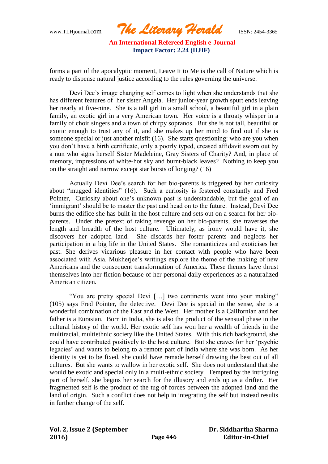www.TLHjournal.com *The Literary Herald*ISSN: 2454-3365

forms a part of the apocalyptic moment, Leave It to Me is the call of Nature which is ready to dispense natural justice according to the rules governing the universe.

Devi Dee"s image changing self comes to light when she understands that she has different features of her sister Angela. Her junior-year growth spurt ends leaving her nearly at five-nine. She is a tall girl in a small school, a beautiful girl in a plain family, an exotic girl in a very American town. Her voice is a throaty whisper in a family of choir singers and a town of chirpy sopranos. But she is not tall, beautiful or exotic enough to trust any of it, and she makes up her mind to find out if she is someone special or just another misfit (16). She starts questioning: who are you when you don"t have a birth certificate, only a poorly typed, creased affidavit sworn out by a nun who signs herself Sister Madeleine, Gray Sisters of Charity? And, in place of memory, impressions of white-hot sky and burnt-black leaves? Nothing to keep you on the straight and narrow except star bursts of longing? (16)

Actually Devi Dee"s search for her bio-parents is triggered by her curiosity about "mugged identities" (16). Such a curiosity is fostered constantly and Fred Pointer, Curiosity about one"s unknown past is understandable, but the goal of an "immigrant" should be to master the past and head on to the future. Instead, Devi Dee burns the edifice she has built in the host culture and sets out on a search for her bioparents. Under the pretext of taking revenge on her bio-parents, she traverses the length and breadth of the host culture. Ultimately, as irony would have it, she discovers her adopted land. She discards her foster parents and neglects her participation in a big life in the United States. She romanticizes and exoticises her past. She derives vicarious pleasure in her contact with people who have been associated with Asia. Mukherjee's writings explore the theme of the making of new Americans and the consequent transformation of America. These themes have thrust themselves into her fiction because of her personal daily experiences as a naturalized American citizen.

"You are pretty special Devi […] two continents went into your making" (105) says Fred Pointer, the detective. Devi Dee is special in the sense, she is a wonderful combination of the East and the West. Her mother is a Californian and her father is a Eurasian. Born in India, she is also the product of the sensual phase in the cultural history of the world. Her exotic self has won her a wealth of friends in the multiracial, multiethnic society like the United States. With this rich background, she could have contributed positively to the host culture. But she craves for her "psychic legacies" and wants to belong to a remote part of India where she was born. As her identity is yet to be fixed, she could have remade herself drawing the best out of all cultures. But she wants to wallow in her exotic self. She does not understand that she would be exotic and special only in a multi-ethnic society. Tempted by the intriguing part of herself, she begins her search for the illusory and ends up as a drifter. Her fragmented self is the product of the tug of forces between the adopted land and the land of origin. Such a conflict does not help in integrating the self but instead results in further change of the self.

| Vol. 2, Issue 2 (September |          | Dr. Siddhartha Sharma  |
|----------------------------|----------|------------------------|
| 2016)                      | Page 446 | <b>Editor-in-Chief</b> |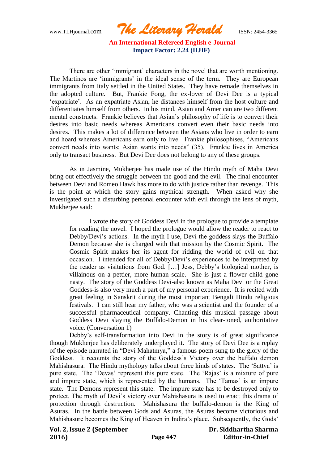www.TLHjournal.com *The Literary Herald*ISSN: 2454-3365

There are other "immigrant" characters in the novel that are worth mentioning. The Martinos are 'immigrants' in the ideal sense of the term. They are European immigrants from Italy settled in the United States. They have remade themselves in the adopted culture. But, Frankie Fong, the ex-lover of Devi Dee is a typical "expatriate". As an expatriate Asian, he distances himself from the host culture and differentiates himself from others. In his mind, Asian and American are two different mental constructs. Frankie believes that Asian"s philosophy of life is to convert their desires into basic needs whereas Americans convert even their basic needs into desires. This makes a lot of difference between the Asians who live in order to earn and hoard whereas Americans earn only to live. Frankie philosophises, "Americans convert needs into wants; Asian wants into needs" (35). Frankie lives in America only to transact business. But Devi Dee does not belong to any of these groups.

As in Jasmine, Mukherjee has made use of the Hindu myth of Maha Devi bring out effectively the struggle between the good and the evil. The final encounter between Devi and Romeo Hawk has more to do with justice rather than revenge. This is the point at which the story gains mythical strength. When asked why she investigated such a disturbing personal encounter with evil through the lens of myth, Mukherjee said:

I wrote the story of Goddess Devi in the prologue to provide a template for reading the novel. I hoped the prologue would allow the reader to react to Debby/Devi's actions. In the myth I use, Devi the goddess slays the Buffalo Demon because she is charged with that mission by the Cosmic Spirit. The Cosmic Spirit makes her its agent for ridding the world of evil on that occasion. I intended for all of Debby/Devi"s experiences to be interpreted by the reader as visitations from God. […] Jess, Debby"s biological mother, is villainous on a pettier, more human scale. She is just a flower child gone nasty. The story of the Goddess Devi-also known as Maha Devi or the Great Goddess-is also very much a part of my personal experience. It is recited with great feeling in Sanskrit during the most important Bengali Hindu religious festivals. I can still hear my father, who was a scientist and the founder of a successful pharmaceutical company. Chanting this musical passage about Goddess Devi slaying the Buffalo-Demon in his clear-toned, authoritative voice. (Conversation 1)

Debby's self-transformation into Devi in the story is of great significance though Mukherjee has deliberately underplayed it. The story of Devi Dee is a replay of the episode narrated in "Devi Mahatmya," a famous poem sung to the glory of the Goddess. It recounts the story of the Goddess"s Victory over the buffalo demon Mahishasura. The Hindu mythology talks about three kinds of states. The "Sattva" is pure state. The "Devas" represent this pure state. The "Rajas" is a mixture of pure and impure state, which is represented by the humans. The 'Tamas' is an impure state. The Demons represent this state. The impure state has to be destroyed only to protect. The myth of Devi"s victory over Mahishasura is used to enact this drama of protection through destruction. Mahishasura the buffalo-demon is the King of Asuras. In the battle between Gods and Asuras, the Asuras become victorious and Mahishasure becomes the King of Heaven in Indira's place. Subsequently, the Gods'